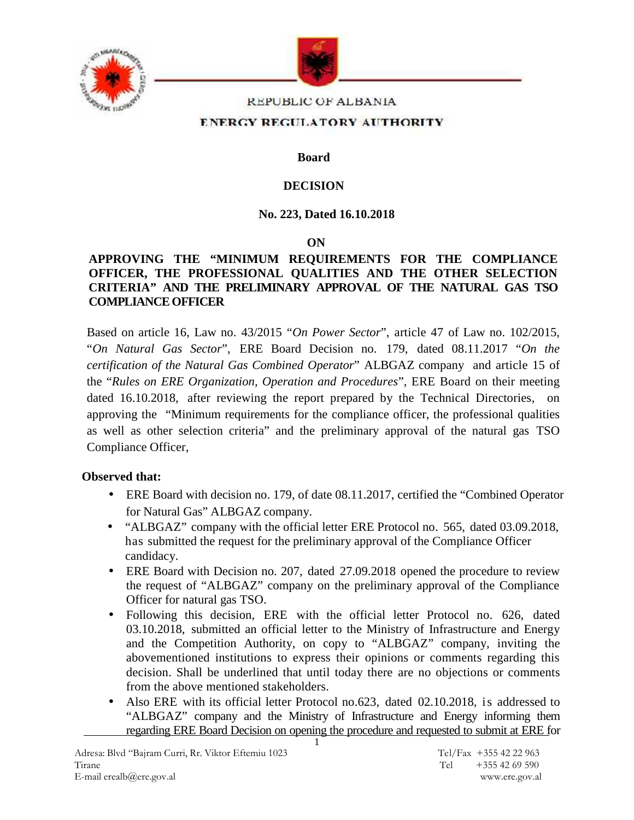



#### REPUBLIC OF ALBANIA

#### ENERGY REGULATORY AUTHORITY

**Board**

#### **DECISION**

### **No. 223, Dated 16.10.2018**

#### **ON**

### **APPROVING THE "MINIMUM REQUIREMENTS FOR THE COMPLIANCE OFFICER, THE PROFESSIONAL QUALITIES AND THE OTHER SELECTION CRITERIA" AND THE PRELIMINARY APPROVAL OF THE NATURAL GAS TSO COMPLIANCE OFFICER**

Based on article 16, Law no. 43/2015 "*On Power Sector*", article 47 of Law no. 102/2015, "*On Natural Gas Sector*", ERE Board Decision no. 179, dated 08.11.2017 "*On the certification of the Natural Gas Combined Operator*" ALBGAZ company and article 15 of the "*Rules on ERE Organization, Operation and Procedures*", ERE Board on their meeting dated 16.10.2018, after reviewing the report prepared by the Technical Directories, on approving the "Minimum requirements for the compliance officer, the professional qualities as well as other selection criteria" and the preliminary approval of the natural gas TSO Compliance Officer,

### **Observed that:**

- ERE Board with decision no. 179, of date 08.11.2017, certified the "Combined Operator for Natural Gas" ALBGAZ company.
- "ALBGAZ" company with the official letter ERE Protocol no. 565, dated 03.09.2018, has submitted the request for the preliminary approval of the Compliance Officer candidacy.
- ERE Board with Decision no. 207, dated 27.09.2018 opened the procedure to review the request of "ALBGAZ" company on the preliminary approval of the Compliance Officer for natural gas TSO.
- Following this decision, ERE with the official letter Protocol no. 626, dated 03.10.2018, submitted an official letter to the Ministry of Infrastructure and Energy and the Competition Authority, on copy to "ALBGAZ" company, inviting the abovementioned institutions to express their opinions or comments regarding this decision. Shall be underlined that until today there are no objections or comments from the above mentioned stakeholders.
- Also ERE with its official letter Protocol no.623, dated 02.10.2018, is addressed to "ALBGAZ" company and the Ministry of Infrastructure and Energy informing them regarding ERE Board Decision on opening the procedure and requested to submit at ERE for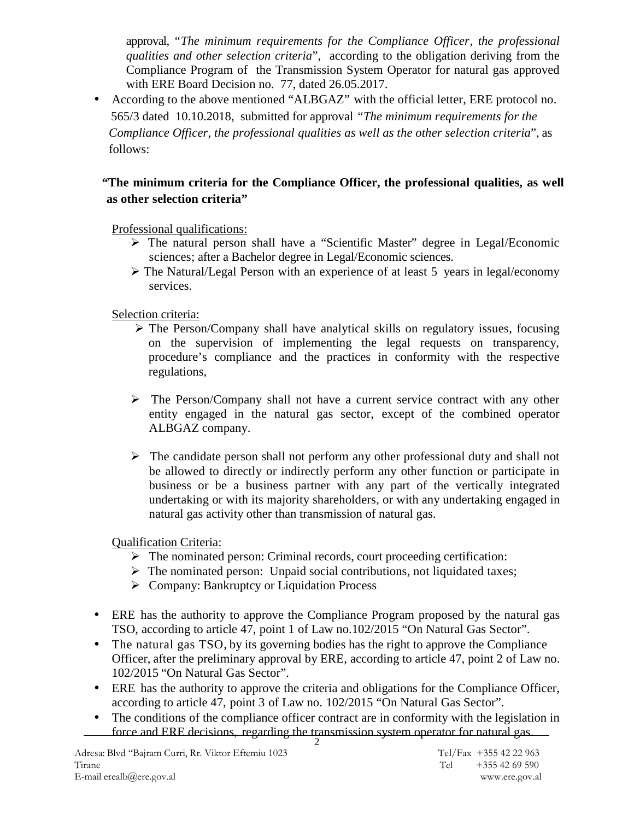approval, "*The minimum requirements for the Compliance Officer, the professional qualities and other selection criteria*", according to the obligation deriving from the Compliance Program of the Transmission System Operator for natural gas approved with ERE Board Decision no. 77, dated 26.05.2017.

 According to the above mentioned "ALBGAZ" with the official letter, ERE protocol no. 565/3 dated 10.10.2018, submitted for approval *"The minimum requirements for the Compliance Officer, the professional qualities as well as the other selection criteria*", as follows:

# **"The minimum criteria for the Compliance Officer, the professional qualities, as well as other selection criteria"**

Professional qualifications:

- $\triangleright$  The natural person shall have a "Scientific Master" degree in Legal/Economic sciences; after a Bachelor degree in Legal/Economic sciences.
- The Natural/Legal Person with an experience of at least 5 years in legal/economy services.

Selection criteria:

- $\triangleright$  The Person/Company shall have analytical skills on regulatory issues, focusing on the supervision of implementing the legal requests on transparency, procedure's compliance and the practices in conformity with the respective regulations,
- The Person/Company shall not have a current service contract with any other entity engaged in the natural gas sector, except of the combined operator ALBGAZ company.
- $\triangleright$  The candidate person shall not perform any other professional duty and shall not be allowed to directly or indirectly perform any other function or participate in business or be a business partner with any part of the vertically integrated undertaking or with its majority shareholders, or with any undertaking engaged in natural gas activity other than transmission of natural gas.

# Qualification Criteria:

- The nominated person: Criminal records, court proceeding certification:
- $\triangleright$  The nominated person: Unpaid social contributions, not liquidated taxes;
- $\triangleright$  Company: Bankruptcy or Liquidation Process
- ERE has the authority to approve the Compliance Program proposed by the natural gas TSO, according to article 47, point 1 of Law no.102/2015 "On Natural Gas Sector".
- The natural gas TSO, by its governing bodies has the right to approve the Compliance Officer, after the preliminary approval by ERE, according to article 47, point 2 of Law no. 102/2015 "On Natural Gas Sector".
- ERE has the authority to approve the criteria and obligations for the Compliance Officer, according to article 47, point 3 of Law no. 102/2015 "On Natural Gas Sector".
- The conditions of the compliance officer contract are in conformity with the legislation in force and ERE decisions, regarding the transmission system operator for natural gas.